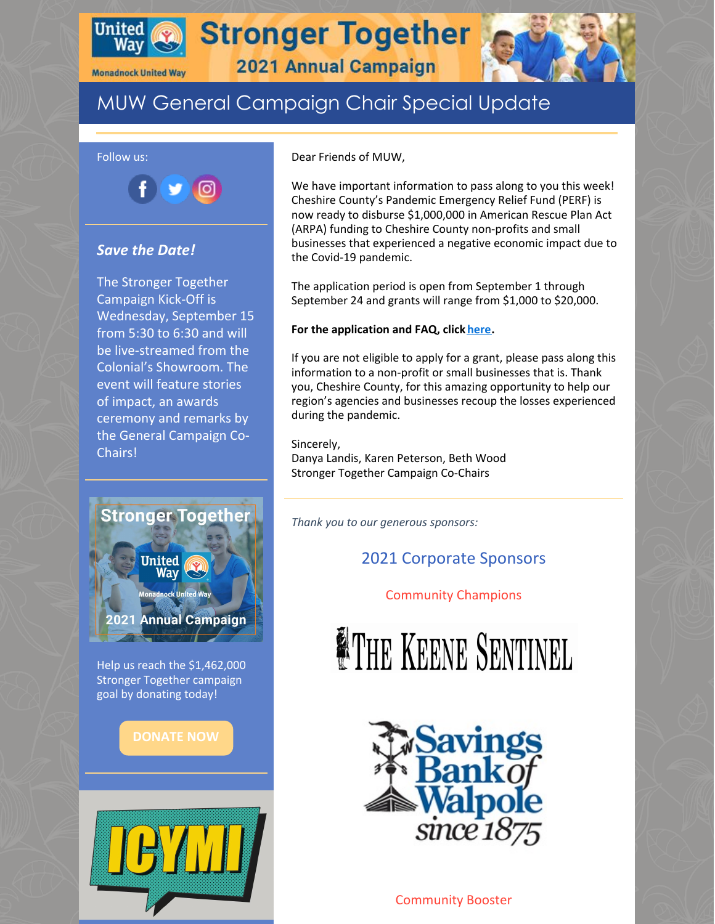

**Monadnock United Way** 

**Stronger Together** 



## 2021 Annual Campaign

# MUW General Campaign Chair Special Update



#### *Save the Date!*

The Stronger Together Campaign Kick-Off is Wednesday, September 15 from 5:30 to 6:30 and will be live-streamed from the Colonial's Showroom. The event will feature stories of impact, an awards ceremony and remarks by the General Campaign Co-Chairs!



Help us reach the \$1,462,000 Stronger Together campaign goal by donating today!



Dear Friends of MUW,

We have important information to pass along to you this week! Cheshire County's Pandemic Emergency Relief Fund (PERF) is now ready to disburse \$1,000,000 in American Rescue Plan Act (ARPA) funding to Cheshire County non-profits and small businesses that experienced a negative economic impact due to the Covid-19 pandemic.

The application period is open from September 1 through September 24 and grants will range from \$1,000 to \$20,000.

#### **For the application and FAQ, click [here](https://www.co.cheshire.nh.us/new_and_alerts/8642/).**

If you are not eligible to apply for a grant, please pass along this information to a non-profit or small businesses that is. Thank you, Cheshire County, for this amazing opportunity to help our region's agencies and businesses recoup the losses experienced during the pandemic.

Sincerely, Danya Landis, Karen Peterson, Beth Wood Stronger Together Campaign Co-Chairs

*Thank you to our generous sponsors:*

## 2021 Corporate Sponsors

Community Champions





Community Booster